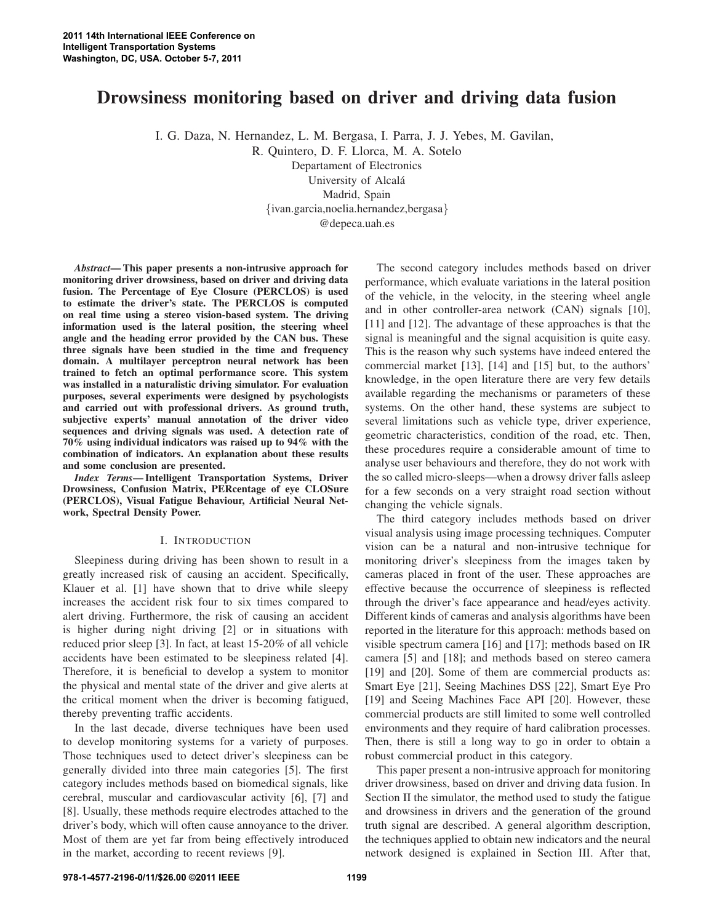# **Drowsiness monitoring based on driver and driving data fusion**

I. G. Daza, N. Hernandez, L. M. Bergasa, I. Parra, J. J. Yebes, M. Gavilan,

R. Quintero, D. F. Llorca, M. A. Sotelo

Departament of Electronics

University of Alcala´

Madrid, Spain

{ivan.garcia,noelia.hernandez,bergasa}

@depeca.uah.es

*Abstract***— This paper presents a non-intrusive approach for monitoring driver drowsiness, based on driver and driving data fusion. The Percentage of Eye Closure (PERCLOS) is used to estimate the driver's state. The PERCLOS is computed on real time using a stereo vision-based system. The driving information used is the lateral position, the steering wheel angle and the heading error provided by the CAN bus. These three signals have been studied in the time and frequency domain. A multilayer perceptron neural network has been trained to fetch an optimal performance score. This system was installed in a naturalistic driving simulator. For evaluation purposes, several experiments were designed by psychologists and carried out with professional drivers. As ground truth, subjective experts' manual annotation of the driver video sequences and driving signals was used. A detection rate of 70% using individual indicators was raised up to 94% with the combination of indicators. An explanation about these results and some conclusion are presented.**

*Index Terms***—Intelligent Transportation Systems, Driver Drowsiness, Confusion Matrix, PERcentage of eye CLOSure (PERCLOS), Visual Fatigue Behaviour, Artificial Neural Network, Spectral Density Power.**

# I. INTRODUCTION

Sleepiness during driving has been shown to result in a greatly increased risk of causing an accident. Specifically, Klauer et al. [1] have shown that to drive while sleepy increases the accident risk four to six times compared to alert driving. Furthermore, the risk of causing an accident is higher during night driving [2] or in situations with reduced prior sleep [3]. In fact, at least 15-20% of all vehicle accidents have been estimated to be sleepiness related [4]. Therefore, it is beneficial to develop a system to monitor the physical and mental state of the driver and give alerts at the critical moment when the driver is becoming fatigued, thereby preventing traffic accidents.

In the last decade, diverse techniques have been used to develop monitoring systems for a variety of purposes. Those techniques used to detect driver's sleepiness can be generally divided into three main categories [5]. The first category includes methods based on biomedical signals, like cerebral, muscular and cardiovascular activity [6], [7] and [8]. Usually, these methods require electrodes attached to the driver's body, which will often cause annoyance to the driver. Most of them are yet far from being effectively introduced in the market, according to recent reviews [9].

The second category includes methods based on driver performance, which evaluate variations in the lateral position of the vehicle, in the velocity, in the steering wheel angle and in other controller-area network (CAN) signals [10], [11] and [12]. The advantage of these approaches is that the signal is meaningful and the signal acquisition is quite easy. This is the reason why such systems have indeed entered the commercial market [13], [14] and [15] but, to the authors' knowledge, in the open literature there are very few details available regarding the mechanisms or parameters of these systems. On the other hand, these systems are subject to several limitations such as vehicle type, driver experience, geometric characteristics, condition of the road, etc. Then, these procedures require a considerable amount of time to analyse user behaviours and therefore, they do not work with the so called micro-sleeps—when a drowsy driver falls asleep for a few seconds on a very straight road section without changing the vehicle signals.

The third category includes methods based on driver visual analysis using image processing techniques. Computer vision can be a natural and non-intrusive technique for monitoring driver's sleepiness from the images taken by cameras placed in front of the user. These approaches are effective because the occurrence of sleepiness is reflected through the driver's face appearance and head/eyes activity. Different kinds of cameras and analysis algorithms have been reported in the literature for this approach: methods based on visible spectrum camera [16] and [17]; methods based on IR camera [5] and [18]; and methods based on stereo camera [19] and [20]. Some of them are commercial products as: Smart Eye [21], Seeing Machines DSS [22], Smart Eye Pro [19] and Seeing Machines Face API [20]. However, these commercial products are still limited to some well controlled environments and they require of hard calibration processes. Then, there is still a long way to go in order to obtain a robust commercial product in this category.

This paper present a non-intrusive approach for monitoring driver drowsiness, based on driver and driving data fusion. In Section II the simulator, the method used to study the fatigue and drowsiness in drivers and the generation of the ground truth signal are described. A general algorithm description, the techniques applied to obtain new indicators and the neural network designed is explained in Section III. After that,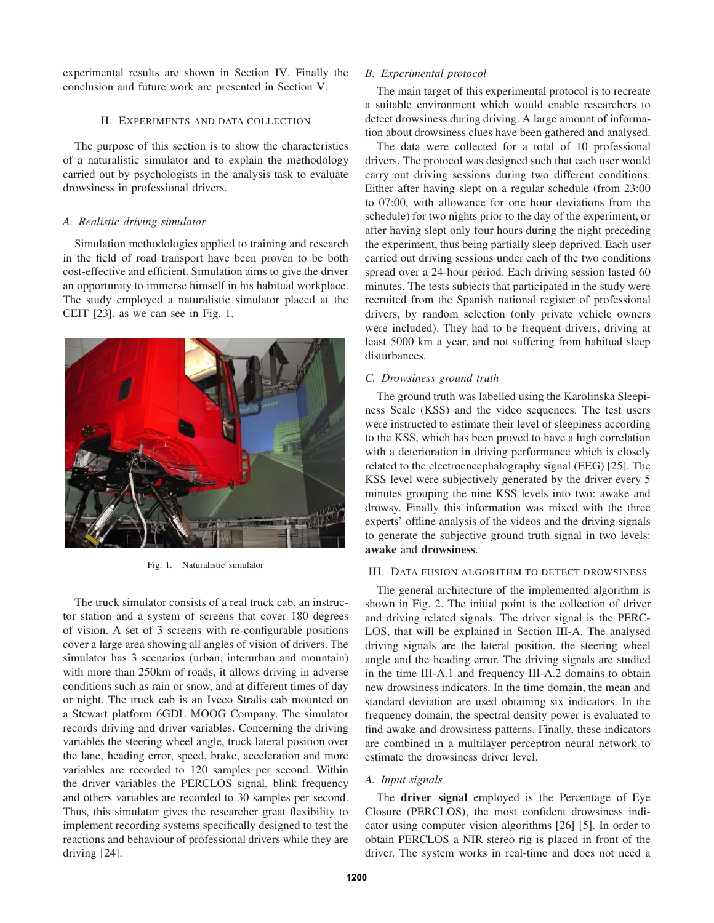experimental results are shown in Section IV. Finally the conclusion and future work are presented in Section V.

## II. EXPERIMENTS AND DATA COLLECTION

The purpose of this section is to show the characteristics of a naturalistic simulator and to explain the methodology carried out by psychologists in the analysis task to evaluate drowsiness in professional drivers.

## *A. Realistic driving simulator*

Simulation methodologies applied to training and research in the field of road transport have been proven to be both cost-effective and efficient. Simulation aims to give the driver an opportunity to immerse himself in his habitual workplace. The study employed a naturalistic simulator placed at the CEIT [23], as we can see in Fig. 1.



Fig. 1. Naturalistic simulator

The truck simulator consists of a real truck cab, an instructor station and a system of screens that cover 180 degrees of vision. A set of 3 screens with re-configurable positions cover a large area showing all angles of vision of drivers. The simulator has 3 scenarios (urban, interurban and mountain) with more than 250km of roads, it allows driving in adverse conditions such as rain or snow, and at different times of day or night. The truck cab is an Iveco Stralis cab mounted on a Stewart platform 6GDL MOOG Company. The simulator records driving and driver variables. Concerning the driving variables the steering wheel angle, truck lateral position over the lane, heading error, speed, brake, acceleration and more variables are recorded to 120 samples per second. Within the driver variables the PERCLOS signal, blink frequency and others variables are recorded to 30 samples per second. Thus, this simulator gives the researcher great flexibility to implement recording systems specifically designed to test the reactions and behaviour of professional drivers while they are driving [24].

# *B. Experimental protocol*

The main target of this experimental protocol is to recreate a suitable environment which would enable researchers to detect drowsiness during driving. A large amount of information about drowsiness clues have been gathered and analysed.

The data were collected for a total of 10 professional drivers. The protocol was designed such that each user would carry out driving sessions during two different conditions: Either after having slept on a regular schedule (from 23:00 to 07:00, with allowance for one hour deviations from the schedule) for two nights prior to the day of the experiment, or after having slept only four hours during the night preceding the experiment, thus being partially sleep deprived. Each user carried out driving sessions under each of the two conditions spread over a 24-hour period. Each driving session lasted 60 minutes. The tests subjects that participated in the study were recruited from the Spanish national register of professional drivers, by random selection (only private vehicle owners were included). They had to be frequent drivers, driving at least 5000 km a year, and not suffering from habitual sleep disturbances.

# *C. Drowsiness ground truth*

The ground truth was labelled using the Karolinska Sleepiness Scale (KSS) and the video sequences. The test users were instructed to estimate their level of sleepiness according to the KSS, which has been proved to have a high correlation with a deterioration in driving performance which is closely related to the electroencephalography signal (EEG) [25]. The KSS level were subjectively generated by the driver every 5 minutes grouping the nine KSS levels into two: awake and drowsy. Finally this information was mixed with the three experts' offline analysis of the videos and the driving signals to generate the subjective ground truth signal in two levels: **awake** and **drowsiness**.

#### III. DATA FUSION ALGORITHM TO DETECT DROWSINESS

The general architecture of the implemented algorithm is shown in Fig. 2. The initial point is the collection of driver and driving related signals. The driver signal is the PERC-LOS, that will be explained in Section III-A. The analysed driving signals are the lateral position, the steering wheel angle and the heading error. The driving signals are studied in the time III-A.1 and frequency III-A.2 domains to obtain new drowsiness indicators. In the time domain, the mean and standard deviation are used obtaining six indicators. In the frequency domain, the spectral density power is evaluated to find awake and drowsiness patterns. Finally, these indicators are combined in a multilayer perceptron neural network to estimate the drowsiness driver level.

## *A. Input signals*

The **driver signal** employed is the Percentage of Eye Closure (PERCLOS), the most confident drowsiness indicator using computer vision algorithms [26] [5]. In order to obtain PERCLOS a NIR stereo rig is placed in front of the driver. The system works in real-time and does not need a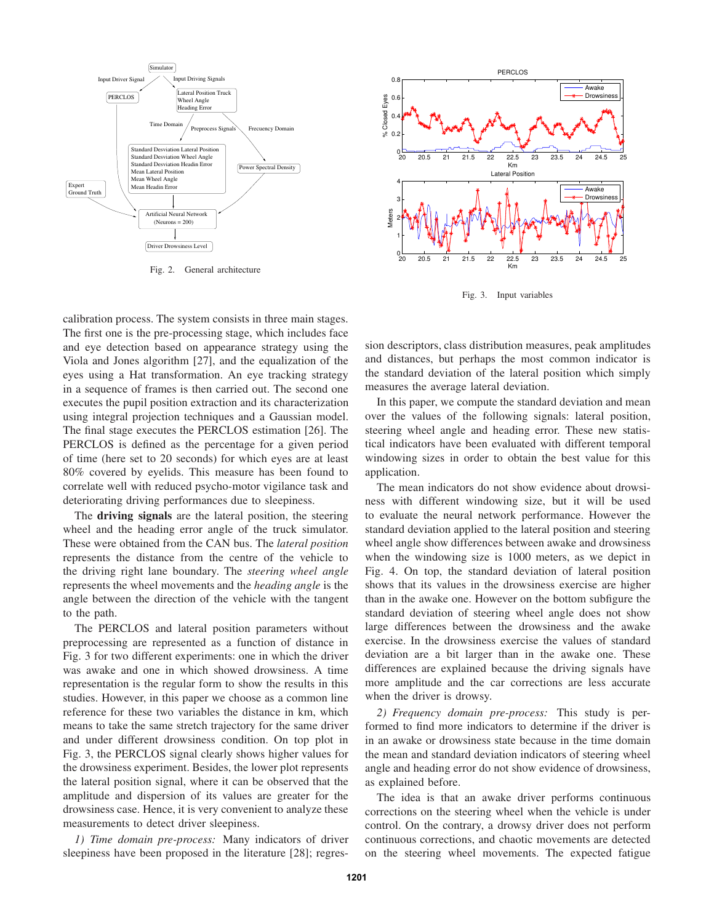

Fig. 2. General architecture

calibration process. The system consists in three main stages. The first one is the pre-processing stage, which includes face and eye detection based on appearance strategy using the Viola and Jones algorithm [27], and the equalization of the eyes using a Hat transformation. An eye tracking strategy in a sequence of frames is then carried out. The second one executes the pupil position extraction and its characterization using integral projection techniques and a Gaussian model. The final stage executes the PERCLOS estimation [26]. The PERCLOS is defined as the percentage for a given period of time (here set to 20 seconds) for which eyes are at least 80% covered by eyelids. This measure has been found to correlate well with reduced psycho-motor vigilance task and deteriorating driving performances due to sleepiness.

The **driving signals** are the lateral position, the steering wheel and the heading error angle of the truck simulator. These were obtained from the CAN bus. The *lateral position* represents the distance from the centre of the vehicle to the driving right lane boundary. The *steering wheel angle* represents the wheel movements and the *heading angle* is the angle between the direction of the vehicle with the tangent to the path.

The PERCLOS and lateral position parameters without preprocessing are represented as a function of distance in Fig. 3 for two different experiments: one in which the driver was awake and one in which showed drowsiness. A time representation is the regular form to show the results in this studies. However, in this paper we choose as a common line reference for these two variables the distance in km, which means to take the same stretch trajectory for the same driver and under different drowsiness condition. On top plot in Fig. 3, the PERCLOS signal clearly shows higher values for the drowsiness experiment. Besides, the lower plot represents the lateral position signal, where it can be observed that the amplitude and dispersion of its values are greater for the drowsiness case. Hence, it is very convenient to analyze these measurements to detect driver sleepiness.

*1) Time domain pre-process:* Many indicators of driver sleepiness have been proposed in the literature [28]; regres-



Fig. 3. Input variables

sion descriptors, class distribution measures, peak amplitudes and distances, but perhaps the most common indicator is the standard deviation of the lateral position which simply measures the average lateral deviation.

In this paper, we compute the standard deviation and mean over the values of the following signals: lateral position, steering wheel angle and heading error. These new statistical indicators have been evaluated with different temporal windowing sizes in order to obtain the best value for this application.

The mean indicators do not show evidence about drowsiness with different windowing size, but it will be used to evaluate the neural network performance. However the standard deviation applied to the lateral position and steering wheel angle show differences between awake and drowsiness when the windowing size is 1000 meters, as we depict in Fig. 4. On top, the standard deviation of lateral position shows that its values in the drowsiness exercise are higher than in the awake one. However on the bottom subfigure the standard deviation of steering wheel angle does not show large differences between the drowsiness and the awake exercise. In the drowsiness exercise the values of standard deviation are a bit larger than in the awake one. These differences are explained because the driving signals have more amplitude and the car corrections are less accurate when the driver is drowsy.

*2) Frequency domain pre-process:* This study is performed to find more indicators to determine if the driver is in an awake or drowsiness state because in the time domain the mean and standard deviation indicators of steering wheel angle and heading error do not show evidence of drowsiness, as explained before.

The idea is that an awake driver performs continuous corrections on the steering wheel when the vehicle is under control. On the contrary, a drowsy driver does not perform continuous corrections, and chaotic movements are detected on the steering wheel movements. The expected fatigue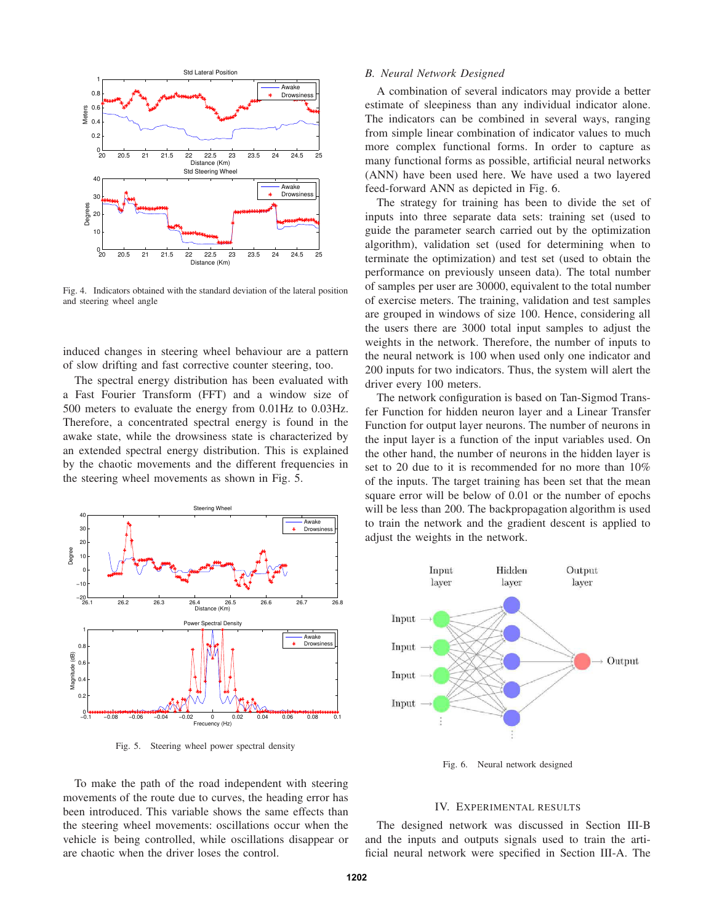

Fig. 4. Indicators obtained with the standard deviation of the lateral position and steering wheel angle

induced changes in steering wheel behaviour are a pattern of slow drifting and fast corrective counter steering, too.

The spectral energy distribution has been evaluated with a Fast Fourier Transform (FFT) and a window size of 500 meters to evaluate the energy from 0.01Hz to 0.03Hz. Therefore, a concentrated spectral energy is found in the awake state, while the drowsiness state is characterized by an extended spectral energy distribution. This is explained by the chaotic movements and the different frequencies in the steering wheel movements as shown in Fig. 5.



Fig. 5. Steering wheel power spectral density

To make the path of the road independent with steering movements of the route due to curves, the heading error has been introduced. This variable shows the same effects than the steering wheel movements: oscillations occur when the vehicle is being controlled, while oscillations disappear or are chaotic when the driver loses the control.

#### *B. Neural Network Designed*

A combination of several indicators may provide a better estimate of sleepiness than any individual indicator alone. The indicators can be combined in several ways, ranging from simple linear combination of indicator values to much more complex functional forms. In order to capture as many functional forms as possible, artificial neural networks (ANN) have been used here. We have used a two layered feed-forward ANN as depicted in Fig. 6.

The strategy for training has been to divide the set of inputs into three separate data sets: training set (used to guide the parameter search carried out by the optimization algorithm), validation set (used for determining when to terminate the optimization) and test set (used to obtain the performance on previously unseen data). The total number of samples per user are 30000, equivalent to the total number of exercise meters. The training, validation and test samples are grouped in windows of size 100. Hence, considering all the users there are 3000 total input samples to adjust the weights in the network. Therefore, the number of inputs to the neural network is 100 when used only one indicator and 200 inputs for two indicators. Thus, the system will alert the driver every 100 meters.

The network configuration is based on Tan-Sigmod Transfer Function for hidden neuron layer and a Linear Transfer Function for output layer neurons. The number of neurons in the input layer is a function of the input variables used. On the other hand, the number of neurons in the hidden layer is set to 20 due to it is recommended for no more than 10% of the inputs. The target training has been set that the mean square error will be below of 0.01 or the number of epochs will be less than 200. The backpropagation algorithm is used to train the network and the gradient descent is applied to adjust the weights in the network.



Fig. 6. Neural network designed

#### IV. EXPERIMENTAL RESULTS

The designed network was discussed in Section III-B and the inputs and outputs signals used to train the artificial neural network were specified in Section III-A. The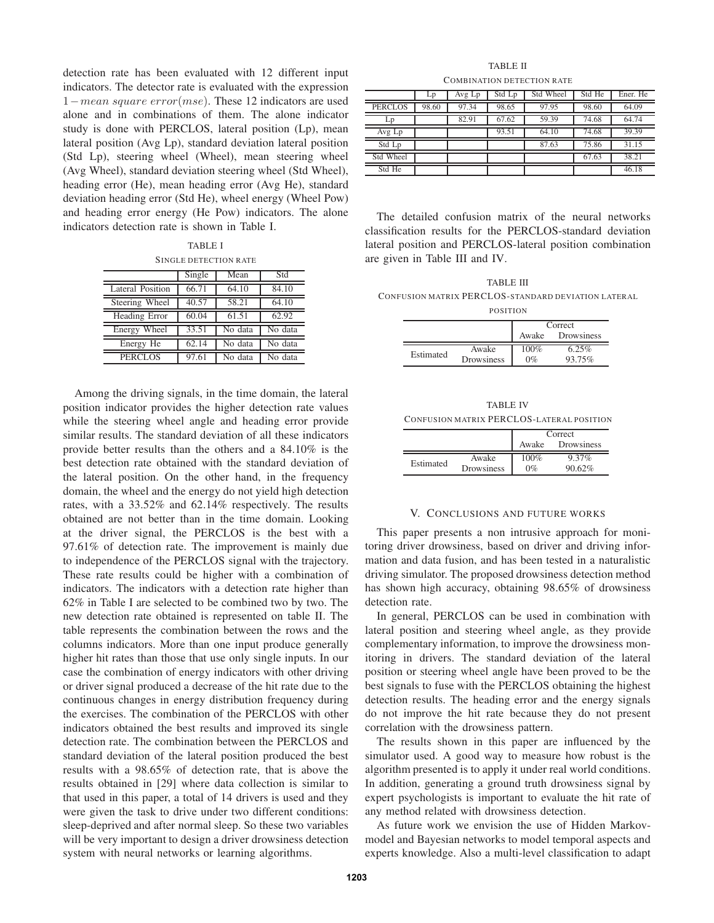detection rate has been evaluated with 12 different input indicators. The detector rate is evaluated with the expression 1−mean square error(mse). These 12 indicators are used alone and in combinations of them. The alone indicator study is done with PERCLOS, lateral position (Lp), mean lateral position (Avg Lp), standard deviation lateral position (Std Lp), steering wheel (Wheel), mean steering wheel (Avg Wheel), standard deviation steering wheel (Std Wheel), heading error (He), mean heading error (Avg He), standard deviation heading error (Std He), wheel energy (Wheel Pow) and heading error energy (He Pow) indicators. The alone indicators detection rate is shown in Table I.

TABLE I SINGLE DETECTION RATE

|                         | Single             | Mean    | Std                |
|-------------------------|--------------------|---------|--------------------|
| <b>Lateral Position</b> | 66.71              | 64.10   | 84.10              |
| Steering Wheel          | 40.57              | 58.21   | 64.10              |
| Heading Error           | $60.\overline{04}$ | 61.51   | $62.\overline{92}$ |
| Energy Wheel            | 33.51              | No data | No data            |
| Energy He               | 62.14              | No data | No data            |
| PERCLOS                 | 97.61              | No data | No data            |

Among the driving signals, in the time domain, the lateral position indicator provides the higher detection rate values while the steering wheel angle and heading error provide similar results. The standard deviation of all these indicators provide better results than the others and a 84.10% is the best detection rate obtained with the standard deviation of the lateral position. On the other hand, in the frequency domain, the wheel and the energy do not yield high detection rates, with a 33.52% and 62.14% respectively. The results obtained are not better than in the time domain. Looking at the driver signal, the PERCLOS is the best with a 97.61% of detection rate. The improvement is mainly due to independence of the PERCLOS signal with the trajectory. These rate results could be higher with a combination of indicators. The indicators with a detection rate higher than 62% in Table I are selected to be combined two by two. The new detection rate obtained is represented on table II. The table represents the combination between the rows and the columns indicators. More than one input produce generally higher hit rates than those that use only single inputs. In our case the combination of energy indicators with other driving or driver signal produced a decrease of the hit rate due to the continuous changes in energy distribution frequency during the exercises. The combination of the PERCLOS with other indicators obtained the best results and improved its single detection rate. The combination between the PERCLOS and standard deviation of the lateral position produced the best results with a 98.65% of detection rate, that is above the results obtained in [29] where data collection is similar to that used in this paper, a total of 14 drivers is used and they were given the task to drive under two different conditions: sleep-deprived and after normal sleep. So these two variables will be very important to design a driver drowsiness detection system with neural networks or learning algorithms.

TABLE II COMBINATION DETECTION RATE

|                | Lp    | Avg Lp | Std Lp | Std Wheel | Std He | Ener. He |
|----------------|-------|--------|--------|-----------|--------|----------|
| <b>PERCLOS</b> | 98.60 | 97.34  | 98.65  | 97.95     | 98.60  | 64.09    |
| Lp             |       | 82.91  | 67.62  | 59.39     | 74.68  | 64.74    |
| Avg Lp         |       |        | 93.51  | 64.10     | 74.68  | 39.39    |
| Std Lp         |       |        |        | 87.63     | 75.86  | 31.15    |
| Std Wheel      |       |        |        |           | 67.63  | 38.21    |
| Std He         |       |        |        |           |        | 46.18    |

The detailed confusion matrix of the neural networks classification results for the PERCLOS-standard deviation lateral position and PERCLOS-lateral position combination are given in Table III and IV.

TABLE III CONFUSION MATRIX PERCLOS-STANDARD DEVIATION LATERAL POSITION

|           |                     | Correct       |                 |  |
|-----------|---------------------|---------------|-----------------|--|
|           |                     | Awake         | Drowsiness      |  |
| Estimated | Awake<br>Drowsiness | 100%<br>$0\%$ | 6.25%<br>93.75% |  |

TABLE IV CONFUSION MATRIX PERCLOS-LATERAL POSITION

|           |                     | Correct       |                    |
|-----------|---------------------|---------------|--------------------|
|           |                     | Awake         | Drowsiness         |
| Estimated | Awake<br>Drowsiness | 100%<br>$0\%$ | $9.37\%$<br>90.62% |

#### V. CONCLUSIONS AND FUTURE WORKS

This paper presents a non intrusive approach for monitoring driver drowsiness, based on driver and driving information and data fusion, and has been tested in a naturalistic driving simulator. The proposed drowsiness detection method has shown high accuracy, obtaining 98.65% of drowsiness detection rate.

In general, PERCLOS can be used in combination with lateral position and steering wheel angle, as they provide complementary information, to improve the drowsiness monitoring in drivers. The standard deviation of the lateral position or steering wheel angle have been proved to be the best signals to fuse with the PERCLOS obtaining the highest detection results. The heading error and the energy signals do not improve the hit rate because they do not present correlation with the drowsiness pattern.

The results shown in this paper are influenced by the simulator used. A good way to measure how robust is the algorithm presented is to apply it under real world conditions. In addition, generating a ground truth drowsiness signal by expert psychologists is important to evaluate the hit rate of any method related with drowsiness detection.

As future work we envision the use of Hidden Markovmodel and Bayesian networks to model temporal aspects and experts knowledge. Also a multi-level classification to adapt